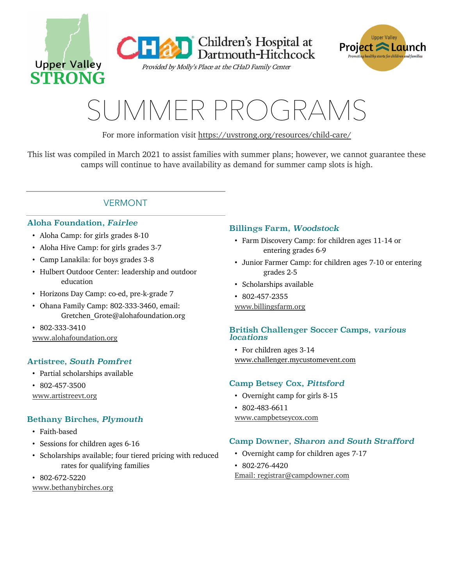

**Children's Hospital at<br>Dartmouth-Hitchcock** 

Provided by Molly's Place at the CHaD Family Center



# SUMMER PROGRAMS

For more information visit https://uvstrong.org/resources/child-care/

This list was compiled in March 2021 to assist families with summer plans; however, we cannot guarantee these camps will continue to have availability as demand for summer camp slots is high.

# VERMONT

# Aloha Foundation, *Fairlee*

- ! Aloha Camp: for girls grades 8-10
- ! Aloha Hive Camp: for girls grades 3-7
- ! Camp Lanakila: for boys grades 3-8
- ! Hulbert Outdoor Center: leadership and outdoor education
- ! Horizons Day Camp: co-ed, pre-k-grade 7
- ! Ohana Family Camp: 802-333-3460, email: Gretchen\_Grote@alohafoundation.org
- $\cdot$  802-333-3410
- www.alohafoundation.org

# Artistree, *South Pomfret*

- ! Partial scholarships available
- $\cdot$  802-457-3500
- www.artistreevt.org

# Bethany Birches, *Plymouth*

- Faith-based
- Sessions for children ages 6-16
- ! Scholarships available; four tiered pricing with reduced rates for qualifying families
- $\cdot$  802-672-5220

www.bethanybirches.org

# Billings Farm, *Woodstock*

- ! Farm Discovery Camp: for children ages 11-14 or entering grades 6-9
- ! Junior Farmer Camp: for children ages 7-10 or entering grades 2-5
- Scholarships available
- $\cdot$  802-457-2355
- www.billingsfarm.org

## British Challenger Soccer Camps, *various locations*

• For children ages 3-14 www.challenger.mycustomevent.com

# Camp Betsey Cox, *Pittsford*

- Overnight camp for girls 8-15
- $\cdot$  802-483-6611 www.campbetseycox.com

# Camp Downer, *Sharon and South Strafford*

- ! Overnight camp for children ages 7-17
- $\cdot$  802-276-4420

Email: registrar@campdowner.com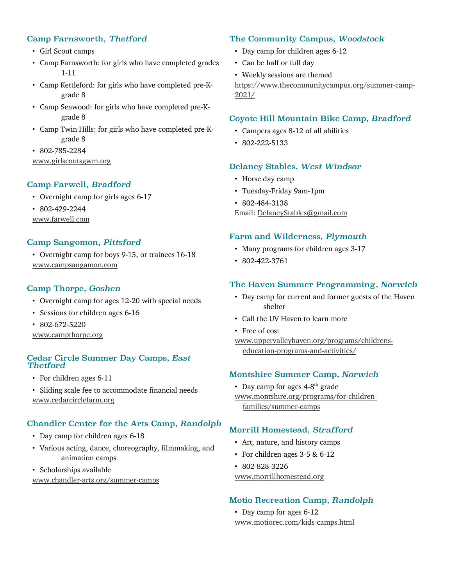# Camp Farnsworth, *Thetford*

- Girl Scout camps
- ! Camp Farnsworth: for girls who have completed grades 1-11
- ! Camp Kettleford: for girls who have completed pre-Kgrade 8
- Camp Seawood: for girls who have completed pre-Kgrade 8
- ! Camp Twin Hills: for girls who have completed pre-Kgrade 8
- ! 802-785-2284 www.girlscoutsgwm.org

# Camp Farwell, *Bradford*

- Overnight camp for girls ages 6-17
- $\cdot$  802-429-2244
- www.farwell.com

## Camp Sangomon, *Pittsford*

! Overnight camp for boys 9-15, or trainees 16-18 www.campsangamon.com

# Camp Thorpe, *Goshen*

- ! Overnight camp for ages 12-20 with special needs
- Sessions for children ages 6-16
- $\cdot$  802-672-5220

www.campthorpe.org

## Cedar Circle Summer Day Camps, *East Thetford*

- For children ages 6-11
- ! Sliding scale fee to accommodate financial needs www.cedarcirclefarm.org

# Chandler Center for the Arts Camp, *Randolph*

- Day camp for children ages 6-18
- ! Various acting, dance, choreography, filmmaking, and animation camps
- Scholarships available

www.chandler-arts.org/summer-camps

## The Community Campus, *Woodstock*

- Day camp for children ages 6-12
- Can be half or full day
- ! Weekly sessions are themed

https://www.thecommunitycampus.org/summer-camp-2021/

## Coyote Hill Mountain Bike Camp, *Bradford*

- ! Campers ages 8-12 of all abilities
- $\cdot$  802-222-5133

## Delaney Stables, *West Windsor*

- Horse day camp
- ! Tuesday-Friday 9am-1pm
- $\cdot$  802-484-3138

Email: DelaneyStables@gmail.com

## Farm and Wilderness, *Plymouth*

- ! Many programs for children ages 3-17
- $\cdot$  802-422-3761

# The Haven Summer Programming, *Norwich*

- ! Day camp for current and former guests of the Haven shelter
- Call the UV Haven to learn more
- Free of cost
- www.uppervalleyhaven.org/programs/childrenseducation-programs-and-activities/

# Montshire Summer Camp, *Norwich*

• Day camp for ages  $4-8$ <sup>th</sup> grade www.montshire.org/programs/for-childrenfamilies/summer-camps

# Morrill Homestead, *Strafford*

- ! Art, nature, and history camps
- ! For children ages 3-5 & 6-12
- 802-828-3226

#### www.morrillhomestead.org

#### Motio Recreation Camp, *Randolph*

• Day camp for ages 6-12 www.motiorec.com/kids-camps.html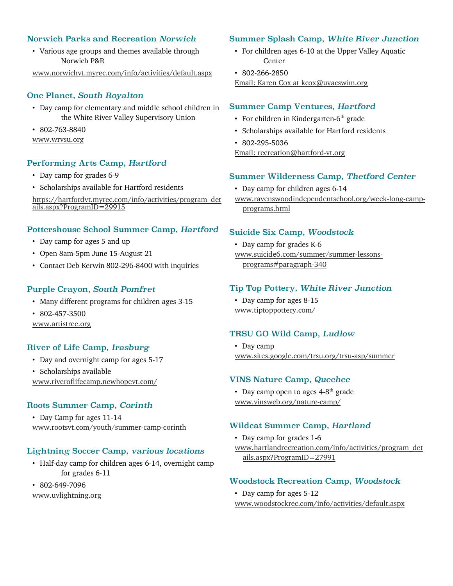# Norwich Parks and Recreation *Norwich*

! Various age groups and themes available through Norwich P&R

www.norwichvt.myrec.com/info/activities/default.aspx

# One Planet, *South Royalton*

- ! Day camp for elementary and middle school children in the White River Valley Supervisory Union
- $\cdot$  802-763-8840

## www.wrvsu.org

# Performing Arts Camp, *Hartford*

- Day camp for grades 6-9
- ! Scholarships available for Hartford residents

https://hartfordvt.myrec.com/info/activities/program\_det ails.aspx?ProgramID=29915

## Pottershouse School Summer Camp, *Hartford*

- Day camp for ages 5 and up
- ! Open 8am-5pm June 15-August 21
- ! Contact Deb Kerwin 802-296-8400 with inquiries

# Purple Crayon, *South Pomfret*

- ! Many different programs for children ages 3-15
- $\cdot$  802-457-3500

www.artistree.org

# River of Life Camp, *Irasburg*

- Day and overnight camp for ages 5-17
- Scholarships available www.riveroflifecamp.newhopevt.com/

# Roots Summer Camp, *Corinth*

• Day Camp for ages 11-14 www.rootsvt.com/youth/summer-camp-corinth

# Lightning Soccer Camp, *various locations*

- ! Half-day camp for children ages 6-14, overnight camp for grades 6-11
- 802-649-7096

www.uvlightning.org

# Summer Splash Camp, *White River Junction*

- ! For children ages 6-10 at the Upper Valley Aquatic Center
- $\cdot$  802-266-2850

Email: Karen Cox at kcox@uvacswim.org

## Summer Camp Ventures, *Hartford*

- $\cdot$  For children in Kindergarten-6<sup>th</sup> grade
- ! Scholarships available for Hartford residents
- 802-295-5036
- Email: recreation@hartford-vt.org

## Summer Wilderness Camp, *Thetford Center*

- Day camp for children ages 6-14
- www.ravenswoodindependentschool.org/week-long-campprograms.html

## Suicide Six Camp, *Woodstock*

- Day camp for grades K-6
- www.suicide6.com/summer/summer-lessonsprograms#paragraph-340

# Tip Top Pottery, *White River Junction*

• Day camp for ages 8-15 www.tiptoppottery.com/

# TRSU GO Wild Camp, *Ludlow*

• Day camp www.sites.google.com/trsu.org/trsu-asp/summer

## VINS Nature Camp, *Quechee*

• Day camp open to ages  $4-8$ <sup>th</sup> grade www.vinsweb.org/nature-camp/

# Wildcat Summer Camp, *Hartland*

- Day camp for grades 1-6
- www.hartlandrecreation.com/info/activities/program\_det ails.aspx?ProgramID=27991

# Woodstock Recreation Camp, *Woodstock*

• Day camp for ages 5-12 www.woodstockrec.com/info/activities/default.aspx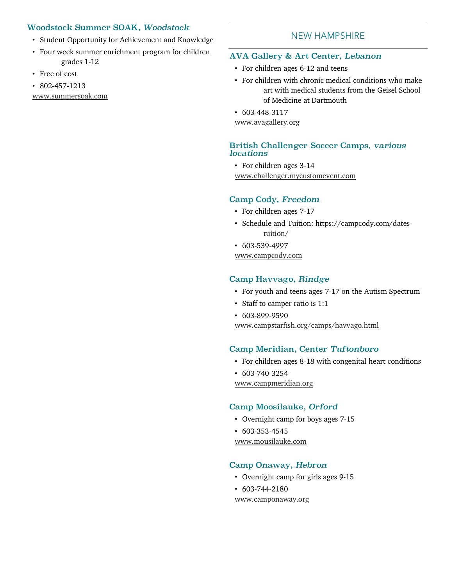## Woodstock Summer SOAK, *Woodstock*

- ! Student Opportunity for Achievement and Knowledge
- ! Four week summer enrichment program for children grades 1-12
- Free of cost
- $\cdot$  802-457-1213

www.summersoak.com

## NEW HAMPSHIRE

#### AVA Gallery & Art Center, *Lebanon*

- For children ages 6-12 and teens
- ! For children with chronic medical conditions who make art with medical students from the Geisel School of Medicine at Dartmouth
- $\cdot$  603-448-3117

www.avagallery.org

#### British Challenger Soccer Camps, *various locations*

• For children ages 3-14 www.challenger.mycustomevent.com

# Camp Cody, *Freedom*

- For children ages 7-17
- ! Schedule and Tuition: https://campcody.com/datestuition/
- $\cdot$  603-539-4997

www.campcody.com

#### Camp Havvago, *Rindge*

- ! For youth and teens ages 7-17 on the Autism Spectrum
- Staff to camper ratio is 1:1
- $\cdot$  603-899-9590

www.campstarfish.org/camps/havvago.html

#### Camp Meridian, Center *Tuftonboro*

- ! For children ages 8-18 with congenital heart conditions
- $\cdot$  603-740-3254

www.campmeridian.org

# Camp Moosilauke, *Orford*

- ! Overnight camp for boys ages 7-15
- $\cdot$  603-353-4545

www.mousilauke.com

# Camp Onaway, *Hebron*

- ! Overnight camp for girls ages 9-15
- $\cdot$  603-744-2180

www.camponaway.org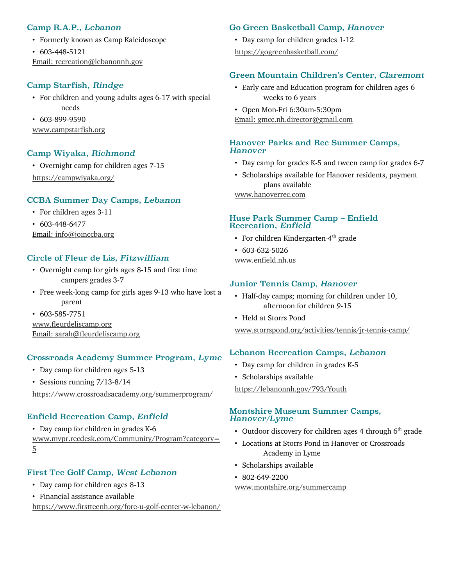# Camp R.A.P., *Lebanon*

- ! Formerly known as Camp Kaleidoscope
- $\cdot$  603-448-5121 Email: recreation@lebanonnh.gov

# Camp Starfish, *Rindge*

- ! For children and young adults ages 6-17 with special needs
- $\cdot$  603-899-9590

www.campstarfish.org

## Camp Wiyaka, *Richmond*

! Overnight camp for children ages 7-15 https://campwiyaka.org/

## CCBA Summer Day Camps, *Lebanon*

- For children ages 3-11
- $\cdot$  603-448-6477
- Email: info@joinccba.org

## Circle of Fleur de Lis, *Fitzwilliam*

- ! Overnight camp for girls ages 8-15 and first time campers grades 3-7
- ! Free week-long camp for girls ages 9-13 who have lost a parent
- $\cdot$  603-585-7751

www.fleurdeliscamp.org Email: sarah@fleurdeliscamp.org

## Crossroads Academy Summer Program, *Lyme*

- Day camp for children ages 5-13
- Sessions running 7/13-8/14

https://www.crossroadsacademy.org/summerprogram/

# Enfield Recreation Camp, *Enfield*

! Day camp for children in grades K-6

www.mvpr.recdesk.com/Community/Program?category= 5

# First Tee Golf Camp, *West Lebanon*

- ! Day camp for children ages 8-13
- ! Financial assistance available

https://www.firstteenh.org/fore-u-golf-center-w-lebanon/

#### Go Green Basketball Camp, *Hanover*

! Day camp for children grades 1-12

## https://gogreenbasketball.com/

# Green Mountain Children's Center, *Claremont*

- ! Early care and Education program for children ages 6 weeks to 6 years
- ! Open Mon-Fri 6:30am-5:30pm
- Email: gmcc.nh.director@gmail.com

## Hanover Parks and Rec Summer Camps, *Hanover*

- ! Day camp for grades K-5 and tween camp for grades 6-7
- ! Scholarships available for Hanover residents, payment plans available

www.hanoverrec.com

## Huse Park Summer Camp – Enfield Recreation, *Enfield*

- $\cdot$  For children Kindergarten-4<sup>th</sup> grade
- $\cdot$  603-632-5026

www.enfield.nh.us

## Junior Tennis Camp, *Hanover*

- ! Half-day camps; morning for children under 10, afternoon for children 9-15
- Held at Storrs Pond

www.storrspond.org/activities/tennis/jr-tennis-camp/

## Lebanon Recreation Camps, *Lebanon*

- Day camp for children in grades K-5
- Scholarships available

https://lebanonnh.gov/793/Youth

## Montshire Museum Summer Camps, *Hanover/Lyme*

- Outdoor discovery for children ages 4 through  $6<sup>th</sup>$  grade
- ! Locations at Storrs Pond in Hanover or Crossroads Academy in Lyme
- Scholarships available
- $\cdot$  802-649-2200

www.montshire.org/summercamp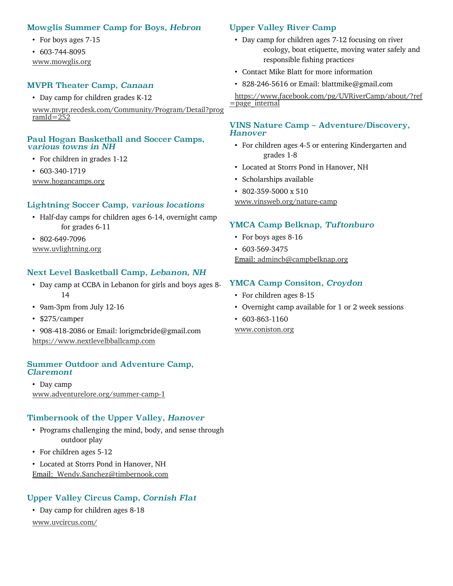## Mowglis Summer Camp for Boys, *Hebron*

- For boys ages 7-15
- $\cdot$  603-744-8095
- www.mowglis.org

## MVPR Theater Camp, *Canaan*

• Day camp for children grades K-12

www.mvpr.recdesk.com/Community/Program/Detail?prog  $ramId=252$ 

#### Paul Hogan Basketball and Soccer Camps, *various towns in NH*

- For children in grades 1-12
- $\cdot$  603-340-1719

www.hogancamps.org

## Lightning Soccer Camp, *various locations*

- ! Half-day camps for children ages 6-14, overnight camp for grades 6-11
- $\cdot$  802-649-7096

www.uvlightning.org

## Next Level Basketball Camp, *Lebanon, NH*

- ! Day camp at CCBA in Lebanon for girls and boys ages 8- 14
- ! 9am-3pm from July 12-16
- \$275/camper
- ! 908-418-2086 or Email: lorigmcbride@gmail.com https://www.nextlevelbballcamp.com

#### Summer Outdoor and Adventure Camp, *Claremont*

• Day camp www.adventurelore.org/summer-camp-1

## Timbernook of the Upper Valley, *Hanover*

- ! Programs challenging the mind, body, and sense through outdoor play
- For children ages 5-12
- ! Located at Storrs Pond in Hanover, NH Email: Wendy.Sanchez@timbernook.com

## Upper Valley Circus Camp, *Cornish Flat*

• Day camp for children ages 8-18

www.uvcircus.com/

## Upper Valley River Camp

- Day camp for children ages 7-12 focusing on river ecology, boat etiquette, moving water safely and responsible fishing practices
- ! Contact Mike Blatt for more information
- 828-246-5616 or Email: blattmike@gmail.com

https://www.facebook.com/pg/UVRiverCamp/about/?ref =page\_internal

#### VINS Nature Camp – Adventure/Discovery, *Hanover*

- ! For children ages 4-5 or entering Kindergarten and grades 1-8
- ! Located at Storrs Pond in Hanover, NH
- Scholarships available
- ! 802-359-5000 x 510

www.vinsweb.org/nature-camp

## YMCA Camp Belknap, *Tuftonburo*

- For boys ages 8-16
- $\cdot$  603-569-3475

Email: admincb@campbelknap.org

#### YMCA Camp Consiton, *Croydon*

- For children ages 8-15
- ! Overnight camp available for 1 or 2 week sessions
- $\cdot$  603-863-1160 www.coniston.org